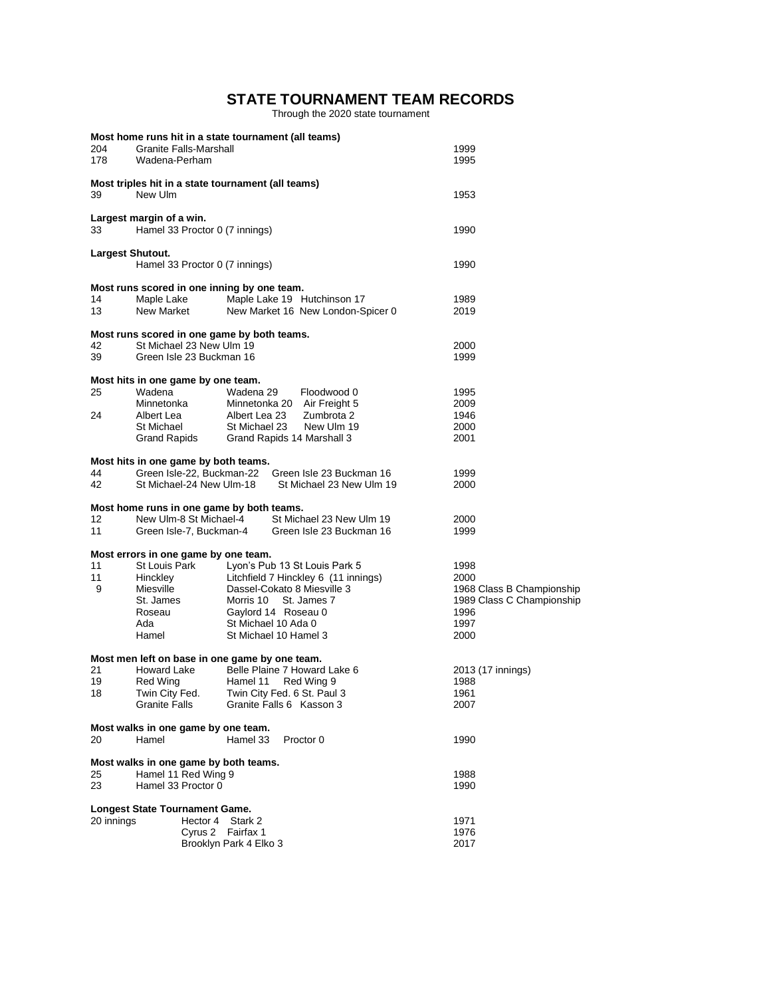# **STATE TOURNAMENT TEAM RECORDS**

Through the 2020 state tournament

|            |                                                              | Most home runs hit in a state tournament (all teams) |                           |
|------------|--------------------------------------------------------------|------------------------------------------------------|---------------------------|
| 204        | <b>Granite Falls-Marshall</b>                                |                                                      | 1999                      |
| 178        | Wadena-Perham                                                |                                                      | 1995                      |
|            |                                                              | Most triples hit in a state tournament (all teams)   |                           |
| 39         | New Ulm                                                      |                                                      | 1953                      |
|            | Largest margin of a win.                                     |                                                      |                           |
| 33         | Hamel 33 Proctor 0 (7 innings)                               |                                                      | 1990                      |
|            | Largest Shutout.                                             |                                                      |                           |
|            | Hamel 33 Proctor 0 (7 innings)                               |                                                      | 1990                      |
|            |                                                              | Most runs scored in one inning by one team.          |                           |
| 14         | Maple Lake                                                   | Maple Lake 19 Hutchinson 17                          | 1989                      |
| 13         | New Market                                                   | New Market 16 New London-Spicer 0                    | 2019                      |
|            |                                                              | Most runs scored in one game by both teams.          |                           |
| 42         | St Michael 23 New Ulm 19                                     |                                                      | 2000                      |
| 39         | Green Isle 23 Buckman 16                                     |                                                      | 1999                      |
|            | Most hits in one game by one team.                           |                                                      |                           |
| 25         | Wadena                                                       | Wadena 29<br>Floodwood 0                             | 1995                      |
|            | Minnetonka                                                   | Minnetonka 20 Air Freight 5                          | 2009                      |
| 24         | Albert Lea                                                   | Albert Lea 23<br>Zumbrota 2                          | 1946                      |
|            | St Michael                                                   | New Ulm 19<br>St Michael 23                          | 2000                      |
|            | Grand Rapids                                                 | Grand Rapids 14 Marshall 3                           | 2001                      |
|            | Most hits in one game by both teams.                         |                                                      |                           |
| 44         | Green Isle-22, Buckman-22                                    | Green Isle 23 Buckman 16                             | 1999                      |
| 42         | St Michael-24 New Ulm-18                                     | St Michael 23 New Ulm 19                             | 2000                      |
|            |                                                              | Most home runs in one game by both teams.            |                           |
| 12         | New Ulm-8 St Michael-4                                       | St Michael 23 New Ulm 19                             | 2000                      |
| 11         | Green Isle-7, Buckman-4                                      | Green Isle 23 Buckman 16                             | 1999                      |
|            | Most errors in one game by one team.                         |                                                      |                           |
| 11         | St Louis Park                                                | Lyon's Pub 13 St Louis Park 5                        | 1998                      |
| 11         | Hinckley                                                     | Litchfield 7 Hinckley 6 (11 innings)                 | 2000                      |
| 9          | Miesville                                                    | Dassel-Cokato 8 Miesville 3                          | 1968 Class B Championship |
|            | St. James                                                    | St. James 7<br>Morris 10                             | 1989 Class C Championship |
|            | Roseau                                                       | Gaylord 14 Roseau 0                                  | 1996                      |
|            | Ada                                                          | St Michael 10 Ada 0                                  | 1997                      |
|            | Hamel                                                        | St Michael 10 Hamel 3                                | 2000                      |
|            |                                                              | Most men left on base in one game by one team.       |                           |
| 21         | Howard Lake                                                  | Belle Plaine 7 Howard Lake 6                         | 2013 (17 innings)         |
| 19         | Red Wing                                                     | Red Wing 9<br>Hamel 11                               | 1988                      |
| 18         | Twin City Fed.                                               | Twin City Fed. 6 St. Paul 3                          | 1961                      |
|            | <b>Granite Falls</b>                                         | Granite Falls 6 Kasson 3                             | 2007                      |
|            | Most walks in one game by one team.                          |                                                      |                           |
| 20         | Hamel                                                        | Hamel 33<br>Proctor 0                                | 1990                      |
|            |                                                              |                                                      |                           |
| 25         | Most walks in one game by both teams.<br>Hamel 11 Red Wing 9 |                                                      | 1988                      |
| 23         | Hamel 33 Proctor 0                                           |                                                      | 1990                      |
|            | Longest State Tournament Game.                               |                                                      |                           |
| 20 innings | Hector 4                                                     | Stark 2                                              | 1971                      |
|            |                                                              | Cyrus 2 Fairfax 1                                    | 1976                      |
|            |                                                              | Brooklyn Park 4 Elko 3                               | 2017                      |
|            |                                                              |                                                      |                           |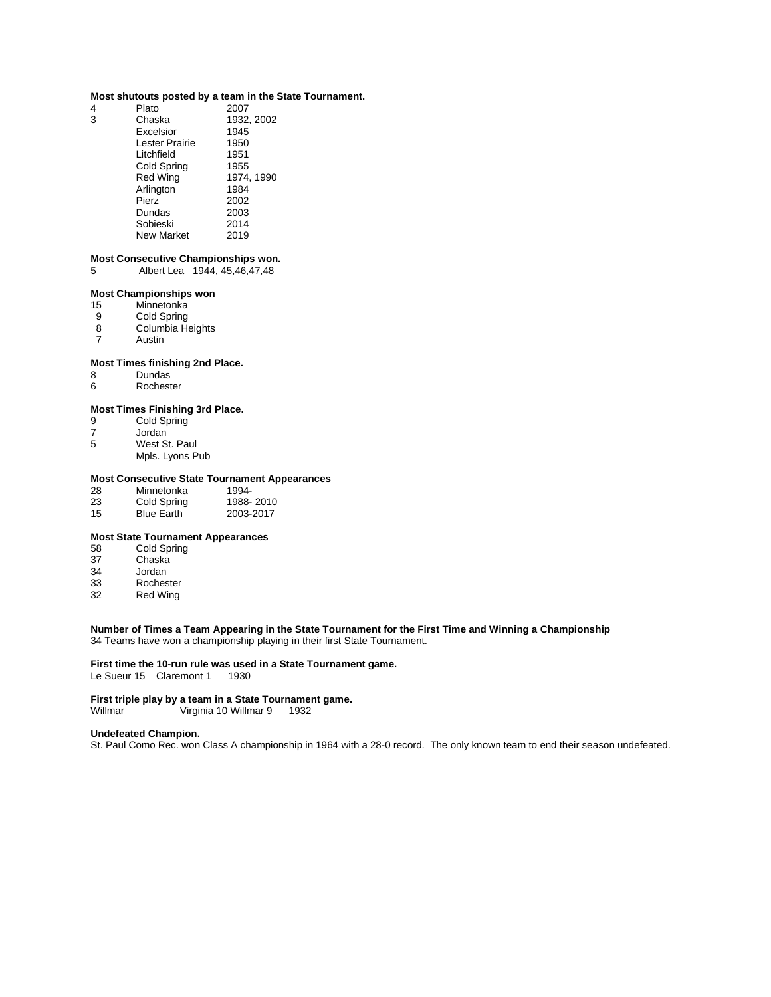### **Most shutouts posted by a team in the State Tournament.**

| 4 | Plato             | 2007       |
|---|-------------------|------------|
| 3 | Chaska            | 1932, 2002 |
|   | Excelsior         | 1945       |
|   | Lester Prairie    | 1950       |
|   | Litchfield        | 1951       |
|   | Cold Spring       | 1955       |
|   | <b>Red Wing</b>   | 1974.1990  |
|   | Arlington         | 1984       |
|   | Pierz             | 2002       |
|   | Dundas            | 2003       |
|   | Sobieski          | 2014       |
|   | <b>New Market</b> | 2019       |

#### **Most Consecutive Championships won.**

5 Albert Lea 1944, 45,46,47,48

### **Most Championships won**

- 15 Minnetonka<br>9 Cold Spring
- Cold Spring
- 8 Columbia Heights<br>7 Austin
- **Austin**

### **Most Times finishing 2nd Place.**

- 8 Dundas<br>6 Rochest
- **Rochester**

## **Most Times Finishing 3rd Place.**

- 9 Cold Spring<br>7 Jordan
- 7 Jordan<br>5 West S
- West St. Paul
	- Mpls. Lyons Pub

### **Most Consecutive State Tournament Appearances**

| 28 | Minnetonka        | 1994-     |
|----|-------------------|-----------|
| 23 | Cold Spring       | 1988-2010 |
| 15 | <b>Blue Earth</b> | 2003-2017 |

## **Most State Tournament Appearances**

- 58 Cold Spring<br>37 Chaska
- Chaska
- 34 Jordan<br>33 Roches
- 33 Rochester<br>32 Red Wing
- Red Wing

### **Number of Times a Team Appearing in the State Tournament for the First Time and Winning a Championship** 34 Teams have won a championship playing in their first State Tournament.

## **First time the 10-run rule was used in a State Tournament game.**

Le Sueur 15 Claremont 1 1930

# **First triple play by a team in a State Tournament game.**<br>Willmar **Willmar 9 / Virginia 10 Willmar 9 / 1932**

Virginia 10 Willmar 9 1932

### **Undefeated Champion.**

St. Paul Como Rec. won Class A championship in 1964 with a 28-0 record. The only known team to end their season undefeated.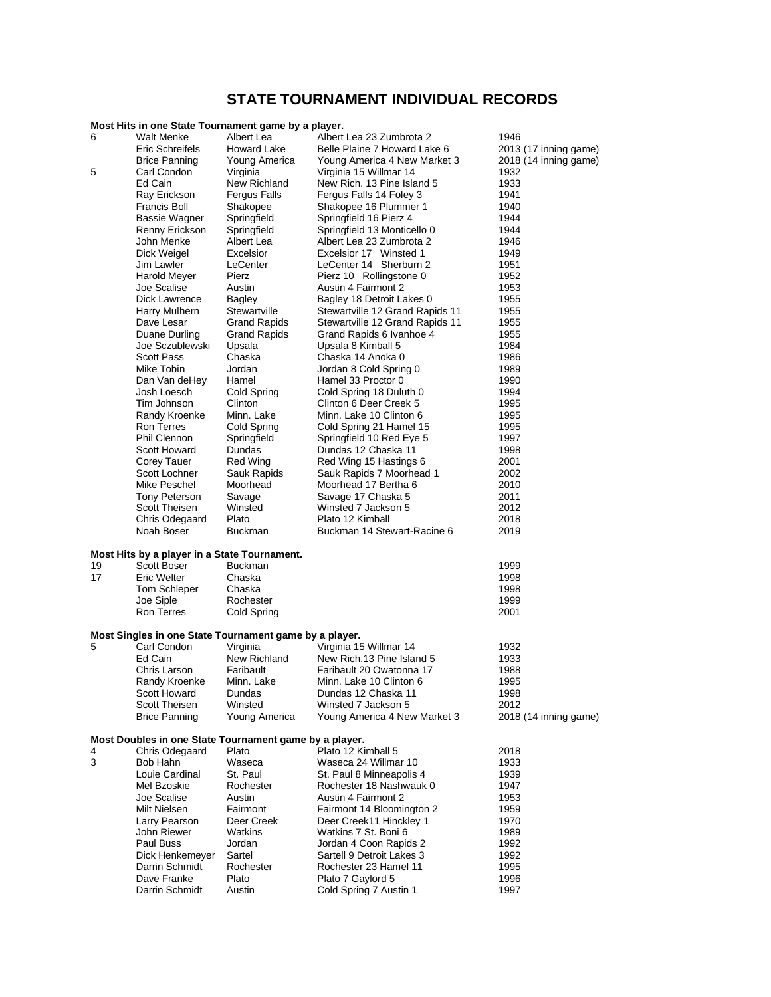# **STATE TOURNAMENT INDIVIDUAL RECORDS**

## **Most Hits in one State Tournament game by a player.**

| 6        | <b>Walt Menke</b>                                      | Albert Lea               | Albert Lea 23 Zumbrota 2                                     | 1946                  |
|----------|--------------------------------------------------------|--------------------------|--------------------------------------------------------------|-----------------------|
|          | Eric Schreifels                                        | <b>Howard Lake</b>       | Belle Plaine 7 Howard Lake 6                                 | 2013 (17 inning game) |
|          | <b>Brice Panning</b>                                   | Young America            | Young America 4 New Market 3                                 | 2018 (14 inning game) |
| 5        | Carl Condon                                            | Virginia                 | Virginia 15 Willmar 14                                       | 1932                  |
|          | Ed Cain                                                | New Richland             | New Rich. 13 Pine Island 5                                   | 1933                  |
|          | Ray Erickson                                           | <b>Fergus Falls</b>      | Fergus Falls 14 Foley 3                                      | 1941                  |
|          | Francis Boll                                           | Shakopee                 | Shakopee 16 Plummer 1                                        | 1940                  |
|          | Bassie Wagner                                          | Springfield              | Springfield 16 Pierz 4                                       | 1944                  |
|          | Renny Erickson                                         | Springfield              | Springfield 13 Monticello 0                                  | 1944                  |
|          | John Menke                                             | Albert Lea               | Albert Lea 23 Zumbrota 2                                     | 1946                  |
|          | Dick Weigel                                            | Excelsior                | Excelsior 17 Winsted 1                                       | 1949                  |
|          | Jim Lawler                                             | LeCenter                 | LeCenter 14 Sherburn 2                                       | 1951                  |
|          | Harold Meyer                                           | Pierz                    | Pierz 10 Rollingstone 0                                      | 1952                  |
|          | Joe Scalise                                            | Austin                   | Austin 4 Fairmont 2                                          | 1953                  |
|          | Dick Lawrence<br>Harry Mulhern                         | Bagley<br>Stewartville   | Bagley 18 Detroit Lakes 0<br>Stewartville 12 Grand Rapids 11 | 1955<br>1955          |
|          | Dave Lesar                                             | <b>Grand Rapids</b>      | Stewartville 12 Grand Rapids 11                              | 1955                  |
|          | Duane Durling                                          | <b>Grand Rapids</b>      | Grand Rapids 6 Ivanhoe 4                                     | 1955                  |
|          | Joe Sczublewski                                        | Upsala                   | Upsala 8 Kimball 5                                           | 1984                  |
|          | Scott Pass                                             | Chaska                   | Chaska 14 Anoka 0                                            | 1986                  |
|          | Mike Tobin                                             | Jordan                   | Jordan 8 Cold Spring 0                                       | 1989                  |
|          | Dan Van deHey                                          | Hamel                    | Hamel 33 Proctor 0                                           | 1990                  |
|          | Josh Loesch                                            | Cold Spring              | Cold Spring 18 Duluth 0                                      | 1994                  |
|          | Tim Johnson                                            | Clinton                  | Clinton 6 Deer Creek 5                                       | 1995                  |
|          | Randy Kroenke                                          | Minn. Lake               | Minn. Lake 10 Clinton 6                                      | 1995                  |
|          | <b>Ron Terres</b>                                      | Cold Spring              | Cold Spring 21 Hamel 15                                      | 1995                  |
|          | Phil Clennon                                           | Springfield              | Springfield 10 Red Eye 5                                     | 1997                  |
|          | Scott Howard                                           | Dundas                   | Dundas 12 Chaska 11                                          | 1998                  |
|          | Corey Tauer                                            | Red Wing                 | Red Wing 15 Hastings 6                                       | 2001                  |
|          | Scott Lochner                                          | Sauk Rapids              | Sauk Rapids 7 Moorhead 1                                     | 2002                  |
|          | Mike Peschel                                           | Moorhead                 | Moorhead 17 Bertha 6                                         | 2010                  |
|          | Tony Peterson                                          | Savage                   | Savage 17 Chaska 5                                           | 2011                  |
|          | <b>Scott Theisen</b>                                   | Winsted                  | Winsted 7 Jackson 5                                          | 2012                  |
|          | Chris Odegaard                                         | Plato                    | Plato 12 Kimball                                             | 2018                  |
|          | Noah Boser                                             | <b>Buckman</b>           | Buckman 14 Stewart-Racine 6                                  | 2019                  |
|          |                                                        |                          |                                                              |                       |
|          | Most Hits by a player in a State Tournament.           |                          |                                                              |                       |
| 19<br>17 | Scott Boser<br><b>Eric Welter</b>                      | <b>Buckman</b><br>Chaska |                                                              | 1999<br>1998          |
|          | Tom Schleper                                           | Chaska                   |                                                              | 1998                  |
|          | Joe Siple                                              | Rochester                |                                                              | 1999                  |
|          | <b>Ron Terres</b>                                      | Cold Spring              |                                                              | 2001                  |
|          |                                                        |                          |                                                              |                       |
|          | Most Singles in one State Tournament game by a player. |                          |                                                              |                       |
| 5        | Carl Condon                                            | Virginia                 | Virginia 15 Willmar 14                                       | 1932                  |
|          | Ed Cain                                                | New Richland             | New Rich.13 Pine Island 5                                    | 1933                  |
|          | Chris Larson                                           | Faribault                | Faribault 20 Owatonna 17                                     | 1988                  |
|          | Randy Kroenke                                          | Minn. Lake               | Minn. Lake 10 Clinton 6                                      | 1995                  |
|          |                                                        |                          |                                                              |                       |
|          | <b>Scott Howard</b>                                    | Dundas                   | Dundas 12 Chaska 11                                          | 1998                  |
|          | Scott Theisen                                          | Winsted                  | Winsted 7 Jackson 5                                          | 2012                  |
|          | <b>Brice Panning</b>                                   | Young America            | Young America 4 New Market 3                                 | 2018 (14 inning game) |
|          |                                                        |                          |                                                              |                       |
|          | Most Doubles in one State Tournament game by a player. |                          |                                                              |                       |
| 4        | Chris Odegaard                                         | Plato                    | Plato 12 Kimball 5                                           | 2018                  |
| 3        | Bob Hahn                                               | Waseca                   | Waseca 24 Willmar 10                                         | 1933                  |
|          | Louie Cardinal                                         | St. Paul                 | St. Paul 8 Minneapolis 4                                     | 1939                  |
|          | Mel Bzoskie                                            | Rochester                | Rochester 18 Nashwauk 0                                      | 1947                  |
|          | Joe Scalise                                            | Austin                   | Austin 4 Fairmont 2                                          | 1953                  |
|          | Milt Nielsen                                           | Fairmont                 | Fairmont 14 Bloomington 2                                    | 1959                  |
|          | Larry Pearson                                          | Deer Creek               | Deer Creek11 Hinckley 1                                      | 1970                  |
|          | John Riewer                                            | Watkins                  | Watkins 7 St. Boni 6                                         | 1989                  |
|          | Paul Buss                                              | Jordan                   | Jordan 4 Coon Rapids 2                                       | 1992                  |
|          | Dick Henkemeyer                                        | Sartel                   | Sartell 9 Detroit Lakes 3                                    | 1992                  |
|          | Darrin Schmidt                                         | Rochester                | Rochester 23 Hamel 11                                        | 1995                  |
|          | Dave Franke<br>Darrin Schmidt                          | Plato<br>Austin          | Plato 7 Gaylord 5<br>Cold Spring 7 Austin 1                  | 1996<br>1997          |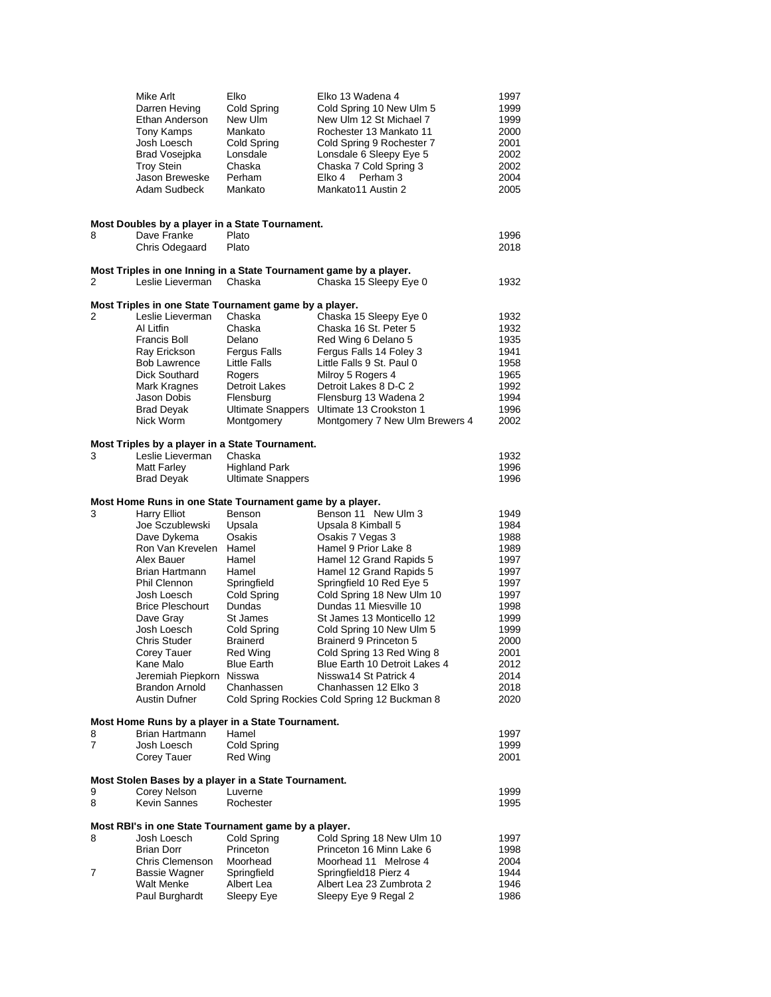|   | Mike Arlt<br>Darren Heving<br>Ethan Anderson<br>Tony Kamps<br>Josh Loesch<br>Brad Vosejpka<br><b>Troy Stein</b><br>Jason Breweske<br>Adam Sudbeck | Elko<br>Cold Spring<br>New Ulm<br>Mankato<br>Cold Spring<br>Lonsdale<br>Chaska<br>Perham<br>Mankato | Elko 13 Wadena 4<br>Cold Spring 10 New Ulm 5<br>New Ulm 12 St Michael 7<br>Rochester 13 Mankato 11<br>Cold Spring 9 Rochester 7<br>Lonsdale 6 Sleepy Eye 5<br>Chaska 7 Cold Spring 3<br>Perham 3<br>Elko 4<br>Mankato11 Austin 2 | 1997<br>1999<br>1999<br>2000<br>2001<br>2002<br>2002<br>2004<br>2005 |
|---|---------------------------------------------------------------------------------------------------------------------------------------------------|-----------------------------------------------------------------------------------------------------|----------------------------------------------------------------------------------------------------------------------------------------------------------------------------------------------------------------------------------|----------------------------------------------------------------------|
| 8 | Most Doubles by a player in a State Tournament.<br>Dave Franke<br>Chris Odegaard                                                                  | Plato<br>Plato                                                                                      |                                                                                                                                                                                                                                  | 1996<br>2018                                                         |
| 2 | Leslie Lieverman                                                                                                                                  | Chaska                                                                                              | Most Triples in one Inning in a State Tournament game by a player.<br>Chaska 15 Sleepy Eye 0                                                                                                                                     | 1932                                                                 |
|   | Most Triples in one State Tournament game by a player.                                                                                            |                                                                                                     |                                                                                                                                                                                                                                  |                                                                      |
| 2 | Leslie Lieverman                                                                                                                                  | Chaska                                                                                              | Chaska 15 Sleepy Eye 0                                                                                                                                                                                                           | 1932                                                                 |
|   | Al Litfin                                                                                                                                         | Chaska                                                                                              | Chaska 16 St. Peter 5                                                                                                                                                                                                            | 1932                                                                 |
|   | <b>Francis Boll</b>                                                                                                                               | Delano                                                                                              | Red Wing 6 Delano 5                                                                                                                                                                                                              | 1935                                                                 |
|   | Ray Erickson                                                                                                                                      | <b>Fergus Falls</b>                                                                                 | Fergus Falls 14 Foley 3                                                                                                                                                                                                          | 1941                                                                 |
|   | <b>Bob Lawrence</b>                                                                                                                               | Little Falls                                                                                        | Little Falls 9 St. Paul 0                                                                                                                                                                                                        | 1958                                                                 |
|   | Dick Southard                                                                                                                                     | Rogers                                                                                              | Milroy 5 Rogers 4                                                                                                                                                                                                                | 1965                                                                 |
|   | Mark Kragnes                                                                                                                                      | Detroit Lakes                                                                                       | Detroit Lakes 8 D-C 2                                                                                                                                                                                                            | 1992                                                                 |
|   | Jason Dobis                                                                                                                                       | Flensburg                                                                                           | Flensburg 13 Wadena 2                                                                                                                                                                                                            | 1994<br>1996                                                         |
|   | <b>Brad Deyak</b><br>Nick Worm                                                                                                                    | <b>Ultimate Snappers</b><br>Montgomery                                                              | Ultimate 13 Crookston 1<br>Montgomery 7 New Ulm Brewers 4                                                                                                                                                                        | 2002                                                                 |
|   |                                                                                                                                                   |                                                                                                     |                                                                                                                                                                                                                                  |                                                                      |
|   | Most Triples by a player in a State Tournament.                                                                                                   |                                                                                                     |                                                                                                                                                                                                                                  |                                                                      |
| 3 | Leslie Lieverman                                                                                                                                  | Chaska                                                                                              |                                                                                                                                                                                                                                  | 1932                                                                 |
|   | Matt Farley                                                                                                                                       | <b>Highland Park</b>                                                                                |                                                                                                                                                                                                                                  | 1996                                                                 |
|   | <b>Brad Deyak</b>                                                                                                                                 | <b>Ultimate Snappers</b>                                                                            |                                                                                                                                                                                                                                  | 1996                                                                 |
|   | Most Home Runs in one State Tournament game by a player.                                                                                          |                                                                                                     |                                                                                                                                                                                                                                  |                                                                      |
| 3 | <b>Harry Elliot</b>                                                                                                                               | Benson                                                                                              | Benson 11 New Ulm 3                                                                                                                                                                                                              | 1949                                                                 |
|   | Joe Sczublewski                                                                                                                                   | Upsala                                                                                              | Upsala 8 Kimball 5                                                                                                                                                                                                               | 1984                                                                 |
|   | Dave Dykema                                                                                                                                       | Osakis                                                                                              | Osakis 7 Vegas 3                                                                                                                                                                                                                 | 1988                                                                 |
|   | Ron Van Krevelen                                                                                                                                  | Hamel                                                                                               | Hamel 9 Prior Lake 8                                                                                                                                                                                                             | 1989                                                                 |
|   | Alex Bauer                                                                                                                                        | Hamel                                                                                               | Hamel 12 Grand Rapids 5                                                                                                                                                                                                          | 1997                                                                 |
|   | Brian Hartmann<br>Phil Clennon                                                                                                                    | Hamel<br>Springfield                                                                                | Hamel 12 Grand Rapids 5<br>Springfield 10 Red Eye 5                                                                                                                                                                              | 1997<br>1997                                                         |
|   | Josh Loesch                                                                                                                                       | Cold Spring                                                                                         | Cold Spring 18 New Ulm 10                                                                                                                                                                                                        | 1997                                                                 |
|   | <b>Brice Pleschourt</b>                                                                                                                           | Dundas                                                                                              | Dundas 11 Miesville 10                                                                                                                                                                                                           | 1998                                                                 |
|   | Dave Gray                                                                                                                                         | St James                                                                                            | St James 13 Monticello 12                                                                                                                                                                                                        | 1999                                                                 |
|   | Josh Loesch                                                                                                                                       | Cold Spring                                                                                         | Cold Spring 10 New Ulm 5                                                                                                                                                                                                         | 1999                                                                 |
|   | Chris Studer                                                                                                                                      | <b>Brainerd</b>                                                                                     | Brainerd 9 Princeton 5                                                                                                                                                                                                           | 2000                                                                 |
|   | Corey Tauer                                                                                                                                       | Red Wing                                                                                            | Cold Spring 13 Red Wing 8                                                                                                                                                                                                        | 2001                                                                 |
|   | Kane Malo                                                                                                                                         | <b>Blue Earth</b>                                                                                   | Blue Earth 10 Detroit Lakes 4                                                                                                                                                                                                    | 2012                                                                 |
|   | Jeremiah Piepkorn<br><b>Brandon Arnold</b>                                                                                                        | Nisswa<br>Chanhassen                                                                                | Nisswa14 St Patrick 4<br>Chanhassen 12 Elko 3                                                                                                                                                                                    | 2014<br>2018                                                         |
|   | Austin Dufner                                                                                                                                     |                                                                                                     | Cold Spring Rockies Cold Spring 12 Buckman 8                                                                                                                                                                                     | 2020                                                                 |
|   |                                                                                                                                                   |                                                                                                     |                                                                                                                                                                                                                                  |                                                                      |
|   | Most Home Runs by a player in a State Tournament.                                                                                                 |                                                                                                     |                                                                                                                                                                                                                                  |                                                                      |
| 8 | Brian Hartmann                                                                                                                                    | Hamel                                                                                               |                                                                                                                                                                                                                                  | 1997                                                                 |
| 7 | Josh Loesch                                                                                                                                       | Cold Spring                                                                                         |                                                                                                                                                                                                                                  | 1999                                                                 |
|   | Corey Tauer                                                                                                                                       | Red Wing                                                                                            |                                                                                                                                                                                                                                  | 2001                                                                 |
|   | Most Stolen Bases by a player in a State Tournament.                                                                                              |                                                                                                     |                                                                                                                                                                                                                                  |                                                                      |
| 9 | Corey Nelson                                                                                                                                      | Luverne                                                                                             |                                                                                                                                                                                                                                  | 1999                                                                 |
| 8 | <b>Kevin Sannes</b>                                                                                                                               | Rochester                                                                                           |                                                                                                                                                                                                                                  | 1995                                                                 |
|   |                                                                                                                                                   |                                                                                                     |                                                                                                                                                                                                                                  |                                                                      |
|   | Most RBI's in one State Tournament game by a player.                                                                                              |                                                                                                     |                                                                                                                                                                                                                                  |                                                                      |
| 8 | Josh Loesch                                                                                                                                       | Cold Spring                                                                                         | Cold Spring 18 New Ulm 10                                                                                                                                                                                                        | 1997                                                                 |
|   | <b>Brian Dorr</b>                                                                                                                                 | Princeton                                                                                           | Princeton 16 Minn Lake 6                                                                                                                                                                                                         | 1998                                                                 |
|   | Chris Clemenson                                                                                                                                   | Moorhead                                                                                            | Moorhead 11 Melrose 4                                                                                                                                                                                                            | 2004                                                                 |
| 7 | Bassie Wagner                                                                                                                                     | Springfield                                                                                         | Springfield18 Pierz 4                                                                                                                                                                                                            | 1944                                                                 |
|   | <b>Walt Menke</b>                                                                                                                                 | Albert Lea                                                                                          | Albert Lea 23 Zumbrota 2                                                                                                                                                                                                         | 1946                                                                 |
|   | Paul Burghardt                                                                                                                                    | Sleepy Eye                                                                                          | Sleepy Eye 9 Regal 2                                                                                                                                                                                                             | 1986                                                                 |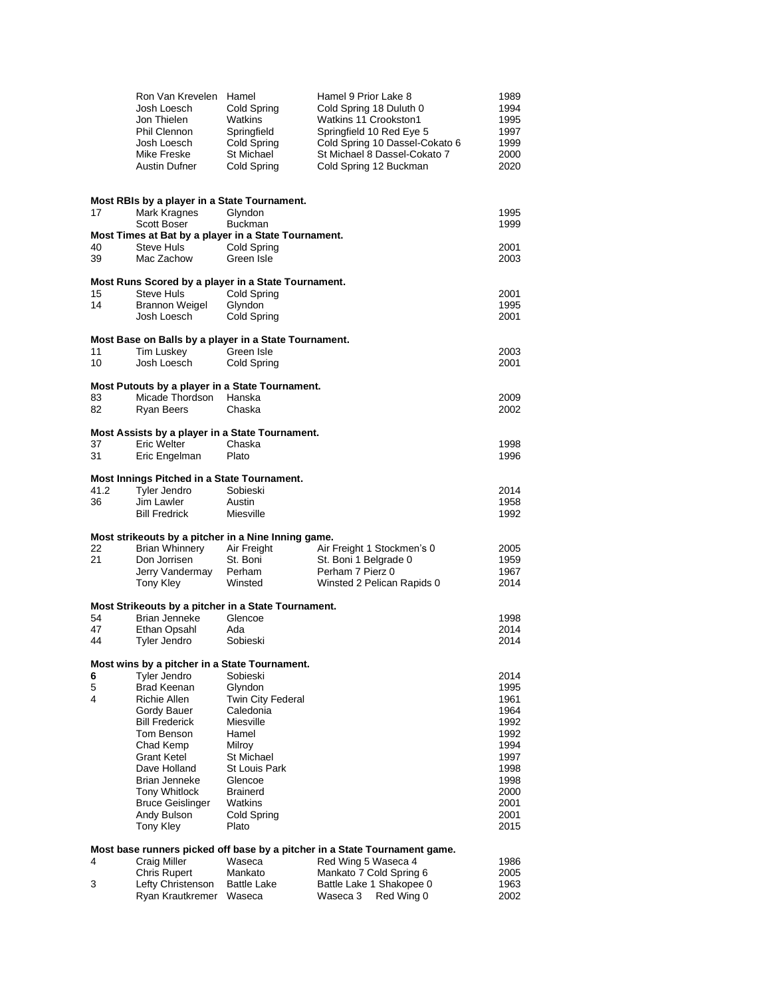|          | Ron Van Krevelen Hamel                                                |                                | Hamel 9 Prior Lake 8                                                       | 1989         |
|----------|-----------------------------------------------------------------------|--------------------------------|----------------------------------------------------------------------------|--------------|
|          | Josh Loesch                                                           | Cold Spring                    | Cold Spring 18 Duluth 0                                                    | 1994         |
|          | Jon Thielen                                                           | Watkins                        | Watkins 11 Crookston1                                                      | 1995         |
|          | Phil Clennon                                                          | Springfield                    | Springfield 10 Red Eye 5                                                   | 1997         |
|          | Josh Loesch                                                           | Cold Spring                    | Cold Spring 10 Dassel-Cokato 6                                             | 1999         |
|          | Mike Freske                                                           | St Michael                     | St Michael 8 Dassel-Cokato 7                                               | 2000         |
|          | Austin Dufner                                                         | Cold Spring                    | Cold Spring 12 Buckman                                                     | 2020         |
|          |                                                                       |                                |                                                                            |              |
|          | Most RBIs by a player in a State Tournament.                          |                                |                                                                            |              |
| 17       | Mark Kragnes                                                          | Glyndon                        |                                                                            | 1995         |
|          | <b>Scott Boser</b>                                                    | <b>Buckman</b>                 |                                                                            | 1999         |
|          | Most Times at Bat by a player in a State Tournament.                  |                                |                                                                            |              |
| 40       | Steve Huls                                                            | Cold Spring                    |                                                                            | 2001         |
| 39       | Mac Zachow                                                            | Green Isle                     |                                                                            | 2003         |
|          | Most Runs Scored by a player in a State Tournament.                   |                                |                                                                            |              |
| 15       | <b>Steve Huls</b>                                                     | Cold Spring                    |                                                                            | 2001         |
| 14       | <b>Brannon Weigel</b>                                                 | Glyndon                        |                                                                            | 1995         |
|          | Josh Loesch                                                           | Cold Spring                    |                                                                            | 2001         |
|          |                                                                       |                                |                                                                            |              |
|          | Most Base on Balls by a player in a State Tournament.                 |                                |                                                                            |              |
| 11<br>10 | Tim Luskey<br>Josh Loesch                                             | Green Isle                     |                                                                            | 2003<br>2001 |
|          |                                                                       | Cold Spring                    |                                                                            |              |
|          | Most Putouts by a player in a State Tournament.                       |                                |                                                                            |              |
| 83       | Micade Thordson                                                       | Hanska                         |                                                                            | 2009         |
| 82       | Ryan Beers                                                            | Chaska                         |                                                                            | 2002         |
|          |                                                                       |                                |                                                                            |              |
|          | Most Assists by a player in a State Tournament.<br><b>Eric Welter</b> |                                |                                                                            |              |
| 37<br>31 | Eric Engelman                                                         | Chaska<br>Plato                |                                                                            | 1998<br>1996 |
|          |                                                                       |                                |                                                                            |              |
|          | Most Innings Pitched in a State Tournament.                           |                                |                                                                            |              |
| 41.2     | <b>Tyler Jendro</b>                                                   | Sobieski                       |                                                                            | 2014         |
| 36       | Jim Lawler                                                            | Austin                         |                                                                            | 1958         |
|          | <b>Bill Fredrick</b>                                                  | Miesville                      |                                                                            | 1992         |
|          | Most strikeouts by a pitcher in a Nine Inning game.                   |                                |                                                                            |              |
| 22       | <b>Brian Whinnery</b>                                                 | Air Freight                    | Air Freight 1 Stockmen's 0                                                 | 2005         |
| 21       | Don Jorrisen                                                          | St. Boni                       | St. Boni 1 Belgrade 0                                                      | 1959         |
|          | Jerry Vandermay                                                       | Perham                         | Perham 7 Pierz 0                                                           | 1967         |
|          | Tony Kley                                                             | Winsted                        | Winsted 2 Pelican Rapids 0                                                 | 2014         |
|          |                                                                       |                                |                                                                            |              |
| 54       | Most Strikeouts by a pitcher in a State Tournament.<br>Brian Jenneke  | Glencoe                        |                                                                            | 1998         |
| 47       | Ethan Opsahl                                                          | Ada                            |                                                                            | 2014         |
| 44       | Tyler Jendro                                                          | Sobieski                       |                                                                            | 2014         |
|          |                                                                       |                                |                                                                            |              |
|          | Most wins by a pitcher in a State Tournament.                         |                                |                                                                            |              |
| 6        | <b>Tyler Jendro</b>                                                   | Sobieski                       |                                                                            | 2014         |
| 5<br>4   | <b>Brad Keenan</b>                                                    | Glyndon                        |                                                                            | 1995         |
|          | Richie Allen                                                          | Twin City Federal<br>Caledonia |                                                                            | 1961<br>1964 |
|          | Gordy Bauer<br><b>Bill Frederick</b>                                  | Miesville                      |                                                                            | 1992         |
|          | Tom Benson                                                            | Hamel                          |                                                                            | 1992         |
|          | Chad Kemp                                                             | Milroy                         |                                                                            | 1994         |
|          | <b>Grant Ketel</b>                                                    | St Michael                     |                                                                            | 1997         |
|          | Dave Holland                                                          | <b>St Louis Park</b>           |                                                                            | 1998         |
|          | Brian Jenneke                                                         | Glencoe                        |                                                                            | 1998         |
|          | <b>Tony Whitlock</b>                                                  | <b>Brainerd</b>                |                                                                            | 2000         |
|          | <b>Bruce Geislinger</b>                                               | Watkins                        |                                                                            | 2001         |
|          | Andy Bulson                                                           | Cold Spring                    |                                                                            | 2001         |
|          | Tony Kley                                                             | Plato                          |                                                                            | 2015         |
|          |                                                                       |                                | Most base runners picked off base by a pitcher in a State Tournament game. |              |
| 4        | <b>Craig Miller</b>                                                   | Waseca                         | Red Wing 5 Waseca 4                                                        | 1986         |
|          | <b>Chris Rupert</b>                                                   | Mankato                        | Mankato 7 Cold Spring 6                                                    | 2005         |
| 3        | Lefty Christenson                                                     | <b>Battle Lake</b>             | Battle Lake 1 Shakopee 0                                                   | 1963         |
|          | Ryan Krautkremer Waseca                                               |                                | Red Wing 0<br>Waseca 3                                                     | 2002         |
|          |                                                                       |                                |                                                                            |              |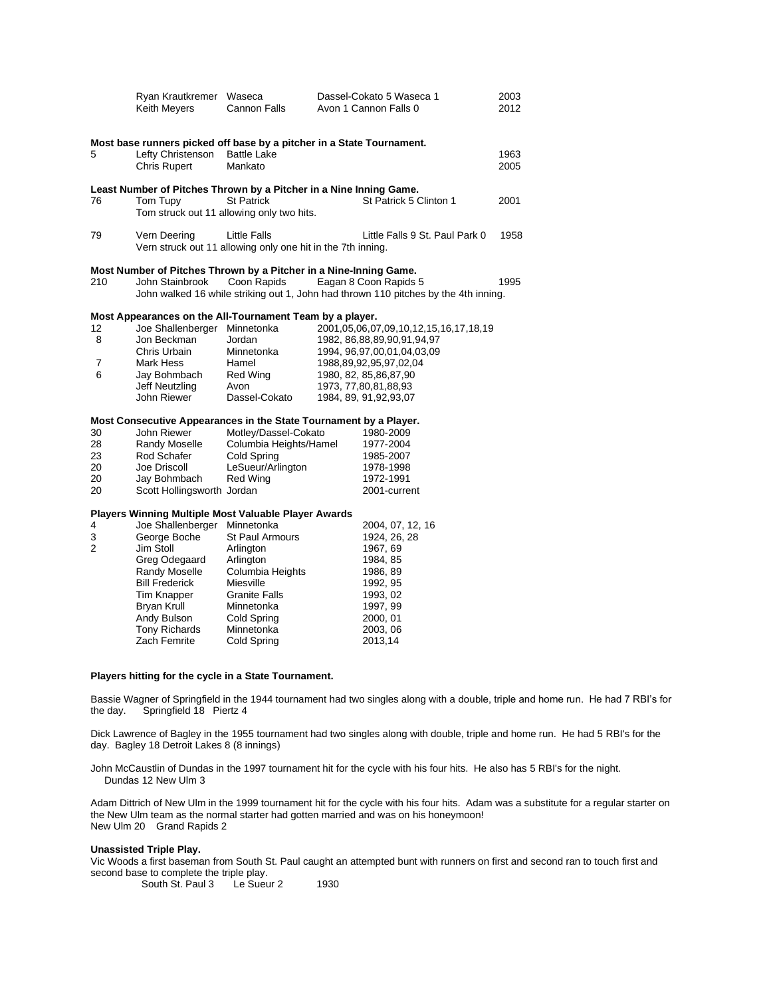|     | Ryan Krautkremer Waseca<br>Keith Meyers                               | Cannon Falls                                                                | Dassel-Cokato 5 Waseca 1<br>Avon 1 Cannon Falls 0                                                            | 2003<br>2012 |
|-----|-----------------------------------------------------------------------|-----------------------------------------------------------------------------|--------------------------------------------------------------------------------------------------------------|--------------|
|     | Most base runners picked off base by a pitcher in a State Tournament. |                                                                             |                                                                                                              |              |
| 5   | Lefty Christenson<br><b>Chris Rupert</b>                              | <b>Battle Lake</b><br>Mankato                                               |                                                                                                              | 1963<br>2005 |
|     | Least Number of Pitches Thrown by a Pitcher in a Nine Inning Game.    |                                                                             |                                                                                                              |              |
| 76  | Tom Tupy                                                              | <b>St Patrick</b><br>Tom struck out 11 allowing only two hits.              | St Patrick 5 Clinton 1                                                                                       | 2001         |
| 79  | Vern Deering                                                          | Little Falls<br>Vern struck out 11 allowing only one hit in the 7th inning. | Little Falls 9 St. Paul Park 0                                                                               | 1958         |
|     | Most Number of Pitches Thrown by a Pitcher in a Nine-Inning Game.     |                                                                             |                                                                                                              |              |
| 210 | John Stainbrook                                                       | Coon Rapids                                                                 | Eagan 8 Coon Rapids 5<br>John walked 16 while striking out 1, John had thrown 110 pitches by the 4th inning. | 1995         |
|     | Most Appearances on the All-Tournament Team by a player.              |                                                                             |                                                                                                              |              |
| 12  | Joe Shallenberger                                                     | Minnetonka                                                                  | 2001, 05, 06, 07, 09, 10, 12, 15, 16, 17, 18, 19                                                             |              |
| 8   | Jon Beckman                                                           | Jordan                                                                      | 1982, 86, 88, 89, 90, 91, 94, 97                                                                             |              |
|     | Chris Urbain                                                          | Minnetonka                                                                  | 1994, 96, 97, 00, 01, 04, 03, 09                                                                             |              |
| 7   | Mark Hess                                                             | Hamel                                                                       | 1988, 89, 92, 95, 97, 02, 04                                                                                 |              |
| 6   | Jay Bohmbach                                                          | Red Wing                                                                    | 1980, 82, 85, 86, 87, 90                                                                                     |              |
|     | Jeff Neutzling                                                        | Avon                                                                        | 1973, 77,80,81,88,93                                                                                         |              |
|     | John Riewer                                                           | Dassel-Cokato                                                               | 1984, 89, 91, 92, 93, 07                                                                                     |              |
|     | Most Consecutive Appearances in the State Tournament by a Player.     |                                                                             |                                                                                                              |              |
| 30  | John Riewer                                                           | Motley/Dassel-Cokato                                                        | 1980-2009                                                                                                    |              |
| 28  | Randy Moselle                                                         | Columbia Heights/Hamel                                                      | 1977-2004                                                                                                    |              |
| 23  | Rod Schafer                                                           | Cold Spring                                                                 | 1985-2007                                                                                                    |              |
| 20  | Joe Driscoll                                                          | LeSueur/Arlington                                                           | 1978-1998                                                                                                    |              |
| 20  | Jay Bohmbach                                                          | <b>Red Wing</b>                                                             | 1972-1991                                                                                                    |              |
| 20  | Scott Hollingsworth Jordan                                            |                                                                             | 2001-current                                                                                                 |              |
|     |                                                                       |                                                                             |                                                                                                              |              |

### **Players Winning Multiple Most Valuable Player Awards**

| 4 | Joe Shallenberger     | Minnetonka             | 2004, 07, 12, 16 |
|---|-----------------------|------------------------|------------------|
| 3 | George Boche          | <b>St Paul Armours</b> | 1924, 26, 28     |
| 2 | Jim Stoll             | Arlington              | 1967, 69         |
|   | Greg Odegaard         | Arlington              | 1984, 85         |
|   | <b>Randy Moselle</b>  | Columbia Heights       | 1986, 89         |
|   | <b>Bill Frederick</b> | Miesville              | 1992, 95         |
|   | <b>Tim Knapper</b>    | <b>Granite Falls</b>   | 1993, 02         |
|   | Bryan Krull           | Minnetonka             | 1997, 99         |
|   | Andy Bulson           | Cold Spring            | 2000, 01         |
|   | <b>Tony Richards</b>  | Minnetonka             | 2003, 06         |
|   | Zach Femrite          | Cold Spring            | 2013,14          |
|   |                       |                        |                  |

## **Players hitting for the cycle in a State Tournament.**

Bassie Wagner of Springfield in the 1944 tournament had two singles along with a double, triple and home run. He had 7 RBI's for the day. Springfield 18 Piertz 4

Dick Lawrence of Bagley in the 1955 tournament had two singles along with double, triple and home run. He had 5 RBI's for the day. Bagley 18 Detroit Lakes 8 (8 innings)

John McCaustlin of Dundas in the 1997 tournament hit for the cycle with his four hits. He also has 5 RBI's for the night. Dundas 12 New Ulm 3

Adam Dittrich of New Ulm in the 1999 tournament hit for the cycle with his four hits. Adam was a substitute for a regular starter on the New Ulm team as the normal starter had gotten married and was on his honeymoon! New Ulm 20 Grand Rapids 2

### **Unassisted Triple Play.**

Vic Woods a first baseman from South St. Paul caught an attempted bunt with runners on first and second ran to touch first and second base to complete the triple play.<br>South St. Paul 3 Le Sueur 2

South St. Paul 3 Le Sueur 2 1930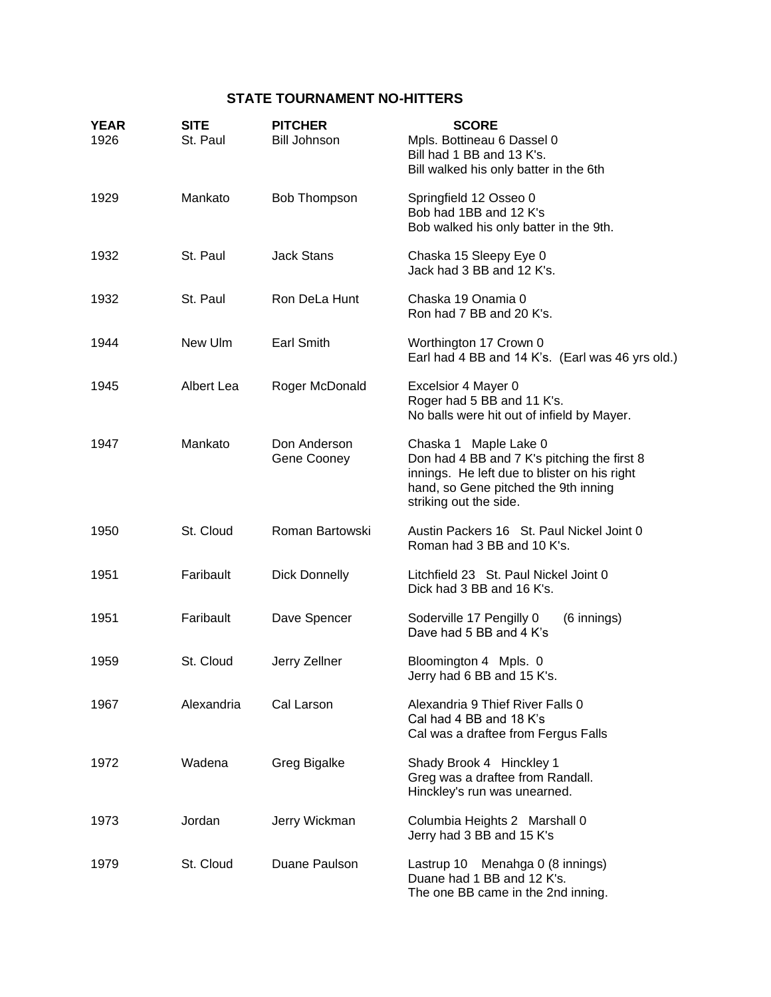# **STATE TOURNAMENT NO-HITTERS**

| <b>YEAR</b><br>1926 | <b>SITE</b><br>St. Paul | <b>PITCHER</b><br><b>Bill Johnson</b> | <b>SCORE</b><br>Mpls. Bottineau 6 Dassel 0<br>Bill had 1 BB and 13 K's.<br>Bill walked his only batter in the 6th                                                                      |
|---------------------|-------------------------|---------------------------------------|----------------------------------------------------------------------------------------------------------------------------------------------------------------------------------------|
| 1929                | Mankato                 | Bob Thompson                          | Springfield 12 Osseo 0<br>Bob had 1BB and 12 K's<br>Bob walked his only batter in the 9th.                                                                                             |
| 1932                | St. Paul                | <b>Jack Stans</b>                     | Chaska 15 Sleepy Eye 0<br>Jack had 3 BB and 12 K's.                                                                                                                                    |
| 1932                | St. Paul                | Ron DeLa Hunt                         | Chaska 19 Onamia 0<br>Ron had 7 BB and 20 K's.                                                                                                                                         |
| 1944                | New Ulm                 | <b>Earl Smith</b>                     | Worthington 17 Crown 0<br>Earl had 4 BB and 14 K's. (Earl was 46 yrs old.)                                                                                                             |
| 1945                | Albert Lea              | Roger McDonald                        | Excelsior 4 Mayer 0<br>Roger had 5 BB and 11 K's.<br>No balls were hit out of infield by Mayer.                                                                                        |
| 1947                | Mankato                 | Don Anderson<br>Gene Cooney           | Chaska 1 Maple Lake 0<br>Don had 4 BB and 7 K's pitching the first 8<br>innings. He left due to blister on his right<br>hand, so Gene pitched the 9th inning<br>striking out the side. |
| 1950                | St. Cloud               | Roman Bartowski                       | Austin Packers 16 St. Paul Nickel Joint 0<br>Roman had 3 BB and 10 K's.                                                                                                                |
| 1951                | Faribault               | <b>Dick Donnelly</b>                  | Litchfield 23 St. Paul Nickel Joint 0<br>Dick had 3 BB and 16 K's.                                                                                                                     |
| 1951                | Faribault               | Dave Spencer                          | Soderville 17 Pengilly 0<br>(6 innings)<br>Dave had 5 BB and 4 K's                                                                                                                     |
| 1959                | St. Cloud               | Jerry Zellner                         | Bloomington 4 Mpls. 0<br>Jerry had 6 BB and 15 K's.                                                                                                                                    |
| 1967                | Alexandria              | Cal Larson                            | Alexandria 9 Thief River Falls 0<br>Cal had 4 BB and 18 K's<br>Cal was a draftee from Fergus Falls                                                                                     |
| 1972                | Wadena                  | Greg Bigalke                          | Shady Brook 4 Hinckley 1<br>Greg was a draftee from Randall.<br>Hinckley's run was unearned.                                                                                           |
| 1973                | Jordan                  | Jerry Wickman                         | Columbia Heights 2 Marshall 0<br>Jerry had 3 BB and 15 K's                                                                                                                             |
| 1979                | St. Cloud               | Duane Paulson                         | Lastrup 10<br>Menahga 0 (8 innings)<br>Duane had 1 BB and 12 K's.<br>The one BB came in the 2nd inning.                                                                                |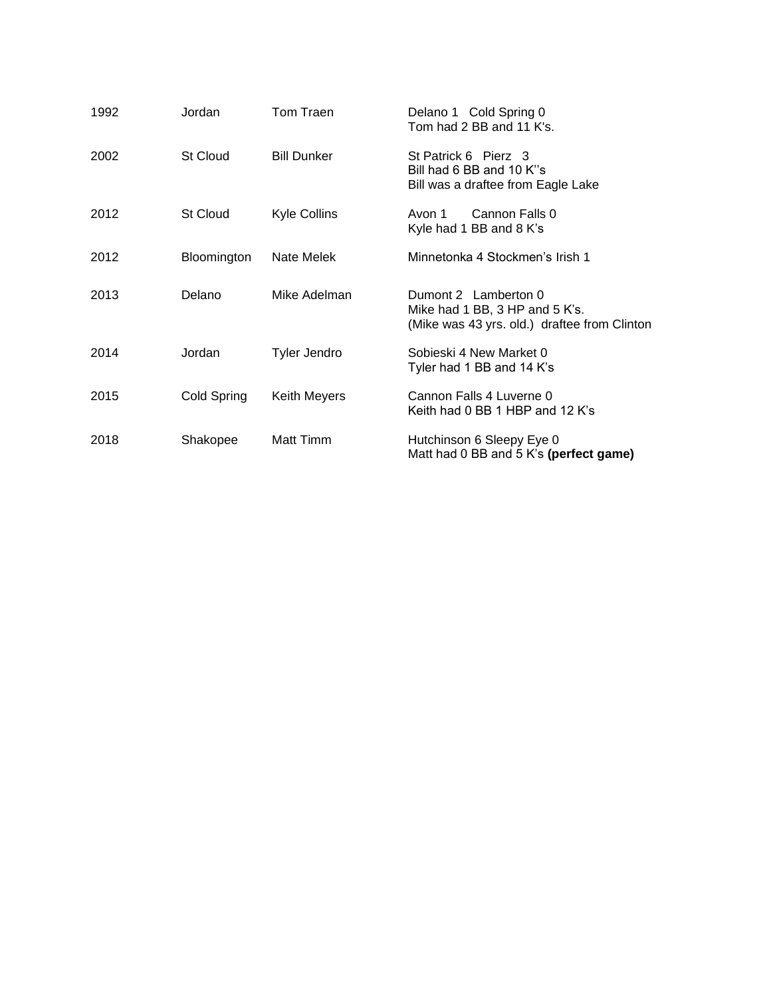| 1992 | Jordan          | Tom Traen           | Delano 1 Cold Spring 0<br>Tom had 2 BB and 11 K's.                                                     |
|------|-----------------|---------------------|--------------------------------------------------------------------------------------------------------|
| 2002 | <b>St Cloud</b> | <b>Bill Dunker</b>  | St Patrick 6 Pierz 3<br>Bill had 6 BB and 10 K"s<br>Bill was a draftee from Eagle Lake                 |
| 2012 | St Cloud        | <b>Kyle Collins</b> | Cannon Falls 0<br>Avon 1<br>Kyle had 1 BB and 8 K's                                                    |
| 2012 | Bloomington     | Nate Melek          | Minnetonka 4 Stockmen's Irish 1                                                                        |
| 2013 | Delano          | Mike Adelman        | Dumont 2 Lamberton 0<br>Mike had 1 BB, 3 HP and 5 K's.<br>(Mike was 43 yrs. old.) draftee from Clinton |
| 2014 | Jordan          | Tyler Jendro        | Sobieski 4 New Market 0<br>Tyler had 1 BB and 14 K's                                                   |
| 2015 | Cold Spring     | Keith Meyers        | Cannon Falls 4 Luverne 0<br>Keith had 0 BB 1 HBP and 12 K's                                            |
| 2018 | Shakopee        | Matt Timm           | Hutchinson 6 Sleepy Eye 0<br>Matt had 0 BB and 5 K's (perfect game)                                    |